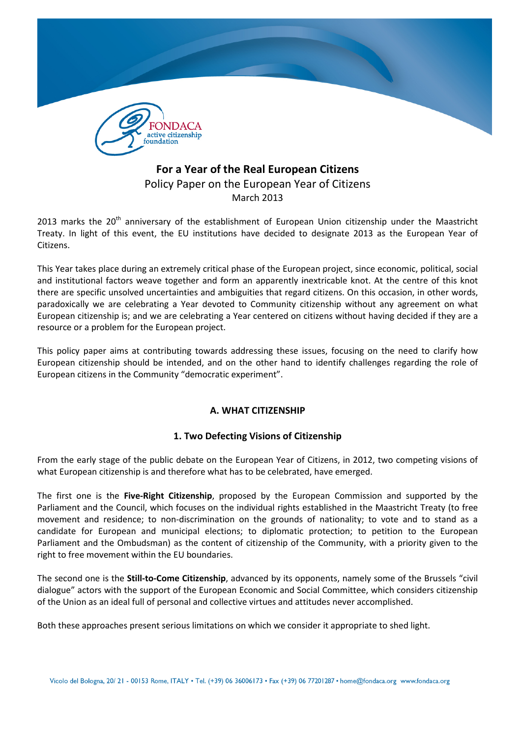

# For a Year of the Real European Citizens Policy Paper on the European Year of Citizens March 2013

2013 marks the  $20<sup>th</sup>$  anniversary of the establishment of European Union citizenship under the Maastricht Treaty. In light of this event, the EU institutions have decided to designate 2013 as the European Year of Citizens.

This Year takes place during an extremely critical phase of the European project, since economic, political, social and institutional factors weave together and form an apparently inextricable knot. At the centre of this knot there are specific unsolved uncertainties and ambiguities that regard citizens. On this occasion, in other words, paradoxically we are celebrating a Year devoted to Community citizenship without any agreement on what European citizenship is; and we are celebrating a Year centered on citizens without having decided if they are a resource or a problem for the European project.

This policy paper aims at contributing towards addressing these issues, focusing on the need to clarify how European citizenship should be intended, and on the other hand to identify challenges regarding the role of European citizens in the Community "democratic experiment".

## A. WHAT CITIZENSHIP

## 1. Two Defecting Visions of Citizenship

From the early stage of the public debate on the European Year of Citizens, in 2012, two competing visions of what European citizenship is and therefore what has to be celebrated, have emerged.

The first one is the Five-Right Citizenship, proposed by the European Commission and supported by the Parliament and the Council, which focuses on the individual rights established in the Maastricht Treaty (to free movement and residence; to non-discrimination on the grounds of nationality; to vote and to stand as a candidate for European and municipal elections; to diplomatic protection; to petition to the European Parliament and the Ombudsman) as the content of citizenship of the Community, with a priority given to the right to free movement within the EU boundaries.

The second one is the Still-to-Come Citizenship, advanced by its opponents, namely some of the Brussels "civil dialogue" actors with the support of the European Economic and Social Committee, which considers citizenship of the Union as an ideal full of personal and collective virtues and attitudes never accomplished.

Both these approaches present serious limitations on which we consider it appropriate to shed light.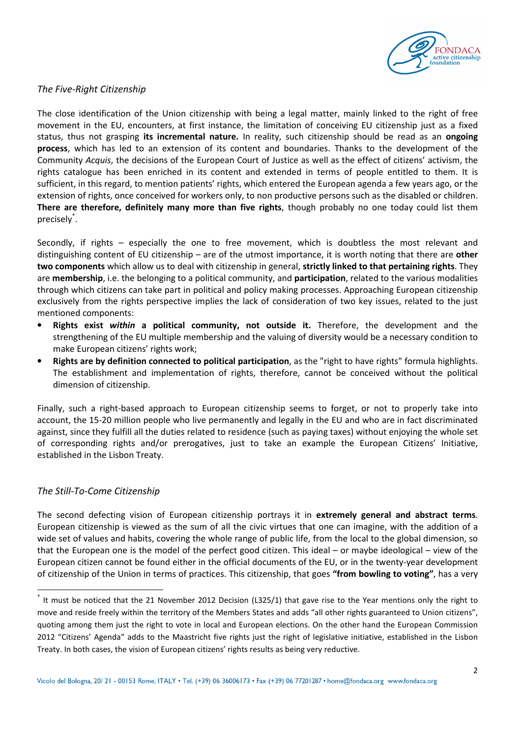

#### The Five-Right Citizenship

The close identification of the Union citizenship with being a legal matter, mainly linked to the right of free movement in the EU, encounters, at first instance, the limitation of conceiving EU citizenship just as a fixed status, thus not grasping its incremental nature. In reality, such citizenship should be read as an ongoing process, which has led to an extension of its content and boundaries. Thanks to the development of the Community Acquis, the decisions of the European Court of Justice as well as the effect of citizens' activism, the rights catalogue has been enriched in its content and extended in terms of people entitled to them. It is sufficient, in this regard, to mention patients' rights, which entered the European agenda a few years ago, or the extension of rights, once conceived for workers only, to non productive persons such as the disabled or children. There are therefore, definitely many more than five rights, though probably no one today could list them precisely\* .

Secondly, if rights – especially the one to free movement, which is doubtless the most relevant and distinguishing content of EU citizenship – are of the utmost importance, it is worth noting that there are other two components which allow us to deal with citizenship in general, strictly linked to that pertaining rights. They are membership, i.e. the belonging to a political community, and participation, related to the various modalities through which citizens can take part in political and policy making processes. Approaching European citizenship exclusively from the rights perspective implies the lack of consideration of two key issues, related to the just mentioned components:

- Rights exist within a political community, not outside it. Therefore, the development and the strengthening of the EU multiple membership and the valuing of diversity would be a necessary condition to make European citizens' rights work;
- Rights are by definition connected to political participation, as the "right to have rights" formula highlights. The establishment and implementation of rights, therefore, cannot be conceived without the political dimension of citizenship.

Finally, such a right-based approach to European citizenship seems to forget, or not to properly take into account, the 15-20 million people who live permanently and legally in the EU and who are in fact discriminated against, since they fulfill all the duties related to residence (such as paying taxes) without enjoying the whole set of corresponding rights and/or prerogatives, just to take an example the European Citizens' Initiative, established in the Lisbon Treaty.

#### The Still-To-Come Citizenship

 $\overline{a}$ 

The second defecting vision of European citizenship portrays it in extremely general and abstract terms. European citizenship is viewed as the sum of all the civic virtues that one can imagine, with the addition of a wide set of values and habits, covering the whole range of public life, from the local to the global dimension, so that the European one is the model of the perfect good citizen. This ideal – or maybe ideological – view of the European citizen cannot be found either in the official documents of the EU, or in the twenty-year development of citizenship of the Union in terms of practices. This citizenship, that goes "from bowling to voting", has a very

<sup>\*</sup> It must be noticed that the 21 November 2012 Decision (L325/1) that gave rise to the Year mentions only the right to move and reside freely within the territory of the Members States and adds "all other rights guaranteed to Union citizens", quoting among them just the right to vote in local and European elections. On the other hand the European Commission 2012 "Citizens' Agenda" adds to the Maastricht five rights just the right of legislative initiative, established in the Lisbon Treaty. In both cases, the vision of European citizens' rights results as being very reductive.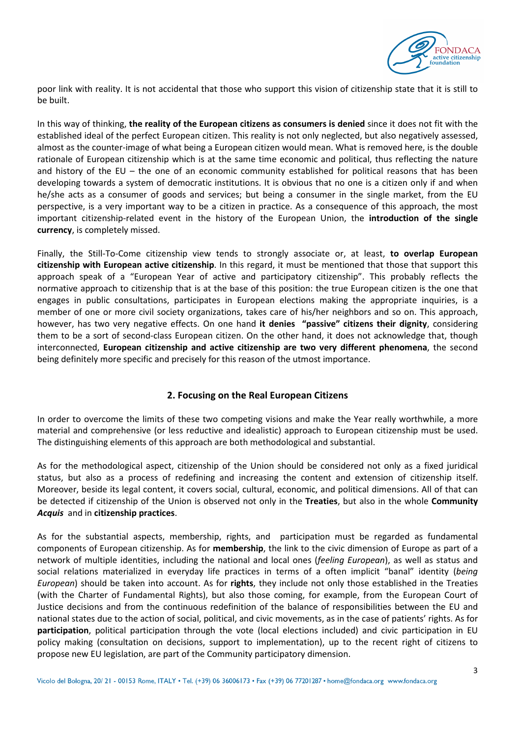

poor link with reality. It is not accidental that those who support this vision of citizenship state that it is still to be built.

In this way of thinking, the reality of the European citizens as consumers is denied since it does not fit with the established ideal of the perfect European citizen. This reality is not only neglected, but also negatively assessed, almost as the counter-image of what being a European citizen would mean. What is removed here, is the double rationale of European citizenship which is at the same time economic and political, thus reflecting the nature and history of the EU – the one of an economic community established for political reasons that has been developing towards a system of democratic institutions. It is obvious that no one is a citizen only if and when he/she acts as a consumer of goods and services; but being a consumer in the single market, from the EU perspective, is a very important way to be a citizen in practice. As a consequence of this approach, the most important citizenship-related event in the history of the European Union, the introduction of the single currency, is completely missed.

Finally, the Still-To-Come citizenship view tends to strongly associate or, at least, to overlap European citizenship with European active citizenship. In this regard, it must be mentioned that those that support this approach speak of a "European Year of active and participatory citizenship". This probably reflects the normative approach to citizenship that is at the base of this position: the true European citizen is the one that engages in public consultations, participates in European elections making the appropriate inquiries, is a member of one or more civil society organizations, takes care of his/her neighbors and so on. This approach, however, has two very negative effects. On one hand it denies "passive" citizens their dignity, considering them to be a sort of second-class European citizen. On the other hand, it does not acknowledge that, though interconnected, European citizenship and active citizenship are two very different phenomena, the second being definitely more specific and precisely for this reason of the utmost importance.

## 2. Focusing on the Real European Citizens

In order to overcome the limits of these two competing visions and make the Year really worthwhile, a more material and comprehensive (or less reductive and idealistic) approach to European citizenship must be used. The distinguishing elements of this approach are both methodological and substantial.

As for the methodological aspect, citizenship of the Union should be considered not only as a fixed juridical status, but also as a process of redefining and increasing the content and extension of citizenship itself. Moreover, beside its legal content, it covers social, cultural, economic, and political dimensions. All of that can be detected if citizenship of the Union is observed not only in the Treaties, but also in the whole Community Acquis and in citizenship practices.

As for the substantial aspects, membership, rights, and participation must be regarded as fundamental components of European citizenship. As for membership, the link to the civic dimension of Europe as part of a network of multiple identities, including the national and local ones (feeling European), as well as status and social relations materialized in everyday life practices in terms of a often implicit "banal" identity (being European) should be taken into account. As for rights, they include not only those established in the Treaties (with the Charter of Fundamental Rights), but also those coming, for example, from the European Court of Justice decisions and from the continuous redefinition of the balance of responsibilities between the EU and national states due to the action of social, political, and civic movements, as in the case of patients' rights. As for participation, political participation through the vote (local elections included) and civic participation in EU policy making (consultation on decisions, support to implementation), up to the recent right of citizens to propose new EU legislation, are part of the Community participatory dimension.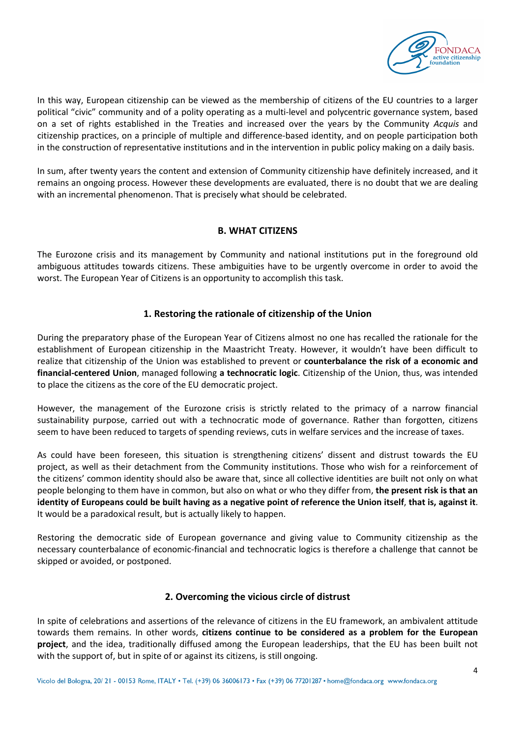

In this way, European citizenship can be viewed as the membership of citizens of the EU countries to a larger political "civic" community and of a polity operating as a multi-level and polycentric governance system, based on a set of rights established in the Treaties and increased over the years by the Community Acquis and citizenship practices, on a principle of multiple and difference-based identity, and on people participation both in the construction of representative institutions and in the intervention in public policy making on a daily basis.

In sum, after twenty years the content and extension of Community citizenship have definitely increased, and it remains an ongoing process. However these developments are evaluated, there is no doubt that we are dealing with an incremental phenomenon. That is precisely what should be celebrated.

## B. WHAT CITIZENS

The Eurozone crisis and its management by Community and national institutions put in the foreground old ambiguous attitudes towards citizens. These ambiguities have to be urgently overcome in order to avoid the worst. The European Year of Citizens is an opportunity to accomplish this task.

## 1. Restoring the rationale of citizenship of the Union

During the preparatory phase of the European Year of Citizens almost no one has recalled the rationale for the establishment of European citizenship in the Maastricht Treaty. However, it wouldn't have been difficult to realize that citizenship of the Union was established to prevent or counterbalance the risk of a economic and financial-centered Union, managed following a technocratic logic. Citizenship of the Union, thus, was intended to place the citizens as the core of the EU democratic project.

However, the management of the Eurozone crisis is strictly related to the primacy of a narrow financial sustainability purpose, carried out with a technocratic mode of governance. Rather than forgotten, citizens seem to have been reduced to targets of spending reviews, cuts in welfare services and the increase of taxes.

As could have been foreseen, this situation is strengthening citizens' dissent and distrust towards the EU project, as well as their detachment from the Community institutions. Those who wish for a reinforcement of the citizens' common identity should also be aware that, since all collective identities are built not only on what people belonging to them have in common, but also on what or who they differ from, the present risk is that an identity of Europeans could be built having as a negative point of reference the Union itself, that is, against it. It would be a paradoxical result, but is actually likely to happen.

Restoring the democratic side of European governance and giving value to Community citizenship as the necessary counterbalance of economic-financial and technocratic logics is therefore a challenge that cannot be skipped or avoided, or postponed.

#### 2. Overcoming the vicious circle of distrust

In spite of celebrations and assertions of the relevance of citizens in the EU framework, an ambivalent attitude towards them remains. In other words, citizens continue to be considered as a problem for the European project, and the idea, traditionally diffused among the European leaderships, that the EU has been built not with the support of, but in spite of or against its citizens, is still ongoing.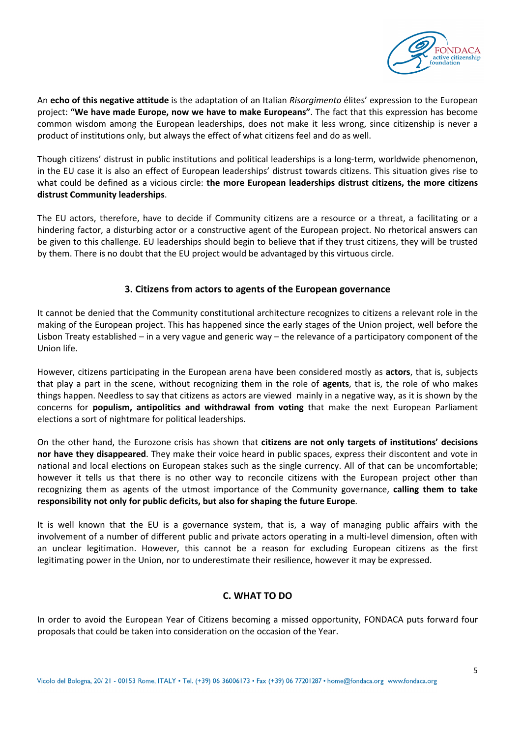

An echo of this negative attitude is the adaptation of an Italian Risorgimento élites' expression to the European project: "We have made Europe, now we have to make Europeans". The fact that this expression has become common wisdom among the European leaderships, does not make it less wrong, since citizenship is never a product of institutions only, but always the effect of what citizens feel and do as well.

Though citizens' distrust in public institutions and political leaderships is a long-term, worldwide phenomenon, in the EU case it is also an effect of European leaderships' distrust towards citizens. This situation gives rise to what could be defined as a vicious circle: the more European leaderships distrust citizens, the more citizens distrust Community leaderships.

The EU actors, therefore, have to decide if Community citizens are a resource or a threat, a facilitating or a hindering factor, a disturbing actor or a constructive agent of the European project. No rhetorical answers can be given to this challenge. EU leaderships should begin to believe that if they trust citizens, they will be trusted by them. There is no doubt that the EU project would be advantaged by this virtuous circle.

## 3. Citizens from actors to agents of the European governance

It cannot be denied that the Community constitutional architecture recognizes to citizens a relevant role in the making of the European project. This has happened since the early stages of the Union project, well before the Lisbon Treaty established – in a very vague and generic way – the relevance of a participatory component of the Union life.

However, citizens participating in the European arena have been considered mostly as actors, that is, subjects that play a part in the scene, without recognizing them in the role of agents, that is, the role of who makes things happen. Needless to say that citizens as actors are viewed mainly in a negative way, as it is shown by the concerns for populism, antipolitics and withdrawal from voting that make the next European Parliament elections a sort of nightmare for political leaderships.

On the other hand, the Eurozone crisis has shown that citizens are not only targets of institutions' decisions nor have they disappeared. They make their voice heard in public spaces, express their discontent and vote in national and local elections on European stakes such as the single currency. All of that can be uncomfortable; however it tells us that there is no other way to reconcile citizens with the European project other than recognizing them as agents of the utmost importance of the Community governance, calling them to take responsibility not only for public deficits, but also for shaping the future Europe.

It is well known that the EU is a governance system, that is, a way of managing public affairs with the involvement of a number of different public and private actors operating in a multi-level dimension, often with an unclear legitimation. However, this cannot be a reason for excluding European citizens as the first legitimating power in the Union, nor to underestimate their resilience, however it may be expressed.

## C. WHAT TO DO

In order to avoid the European Year of Citizens becoming a missed opportunity, FONDACA puts forward four proposals that could be taken into consideration on the occasion of the Year.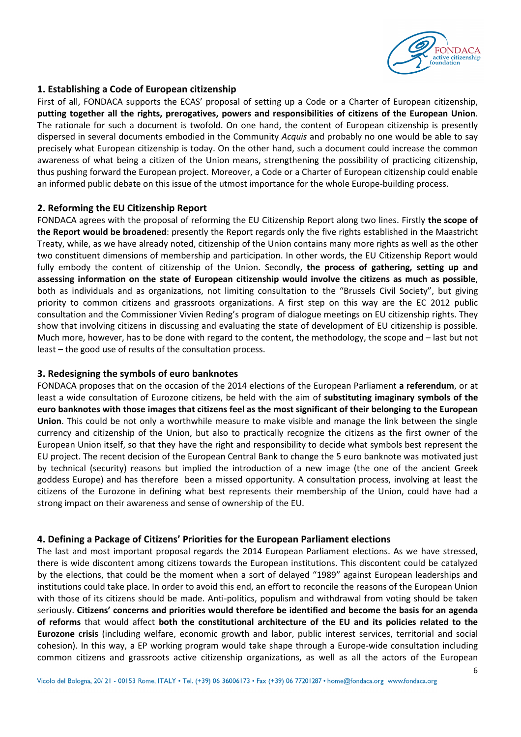

## 1. Establishing a Code of European citizenship

First of all, FONDACA supports the ECAS' proposal of setting up a Code or a Charter of European citizenship, putting together all the rights, prerogatives, powers and responsibilities of citizens of the European Union. The rationale for such a document is twofold. On one hand, the content of European citizenship is presently dispersed in several documents embodied in the Community Acquis and probably no one would be able to say precisely what European citizenship is today. On the other hand, such a document could increase the common awareness of what being a citizen of the Union means, strengthening the possibility of practicing citizenship, thus pushing forward the European project. Moreover, a Code or a Charter of European citizenship could enable an informed public debate on this issue of the utmost importance for the whole Europe-building process.

#### 2. Reforming the EU Citizenship Report

FONDACA agrees with the proposal of reforming the EU Citizenship Report along two lines. Firstly the scope of the Report would be broadened: presently the Report regards only the five rights established in the Maastricht Treaty, while, as we have already noted, citizenship of the Union contains many more rights as well as the other two constituent dimensions of membership and participation. In other words, the EU Citizenship Report would fully embody the content of citizenship of the Union. Secondly, the process of gathering, setting up and assessing information on the state of European citizenship would involve the citizens as much as possible, both as individuals and as organizations, not limiting consultation to the "Brussels Civil Society", but giving priority to common citizens and grassroots organizations. A first step on this way are the EC 2012 public consultation and the Commissioner Vivien Reding's program of dialogue meetings on EU citizenship rights. They show that involving citizens in discussing and evaluating the state of development of EU citizenship is possible. Much more, however, has to be done with regard to the content, the methodology, the scope and – last but not least – the good use of results of the consultation process.

#### 3. Redesigning the symbols of euro banknotes

FONDACA proposes that on the occasion of the 2014 elections of the European Parliament a referendum, or at least a wide consultation of Eurozone citizens, be held with the aim of substituting imaginary symbols of the euro banknotes with those images that citizens feel as the most significant of their belonging to the European Union. This could be not only a worthwhile measure to make visible and manage the link between the single currency and citizenship of the Union, but also to practically recognize the citizens as the first owner of the European Union itself, so that they have the right and responsibility to decide what symbols best represent the EU project. The recent decision of the European Central Bank to change the 5 euro banknote was motivated just by technical (security) reasons but implied the introduction of a new image (the one of the ancient Greek goddess Europe) and has therefore been a missed opportunity. A consultation process, involving at least the citizens of the Eurozone in defining what best represents their membership of the Union, could have had a strong impact on their awareness and sense of ownership of the EU.

#### 4. Defining a Package of Citizens' Priorities for the European Parliament elections

The last and most important proposal regards the 2014 European Parliament elections. As we have stressed, there is wide discontent among citizens towards the European institutions. This discontent could be catalyzed by the elections, that could be the moment when a sort of delayed "1989" against European leaderships and institutions could take place. In order to avoid this end, an effort to reconcile the reasons of the European Union with those of its citizens should be made. Anti-politics, populism and withdrawal from voting should be taken seriously. Citizens' concerns and priorities would therefore be identified and become the basis for an agenda of reforms that would affect both the constitutional architecture of the EU and its policies related to the Eurozone crisis (including welfare, economic growth and labor, public interest services, territorial and social cohesion). In this way, a EP working program would take shape through a Europe-wide consultation including common citizens and grassroots active citizenship organizations, as well as all the actors of the European